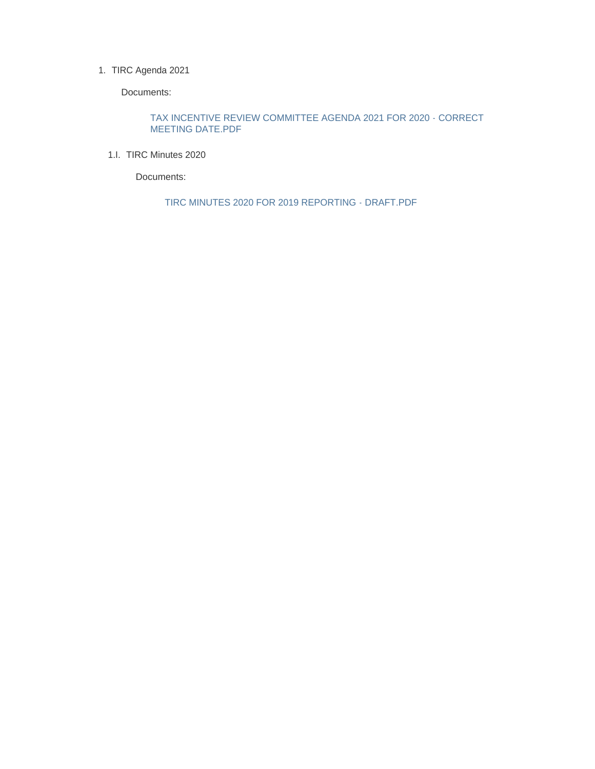#### 1. TIRC Agenda 2021

Documents:

TAX INCENTIVE REVIEW COMMITTEE AGENDA 2021 FOR 2020 - CORRECT MEETING DATE.PDF

1.I. TIRC Minutes 2020

Documents:

TIRC MINUTES 2020 FOR 2019 REPORTING - DRAFT.PDF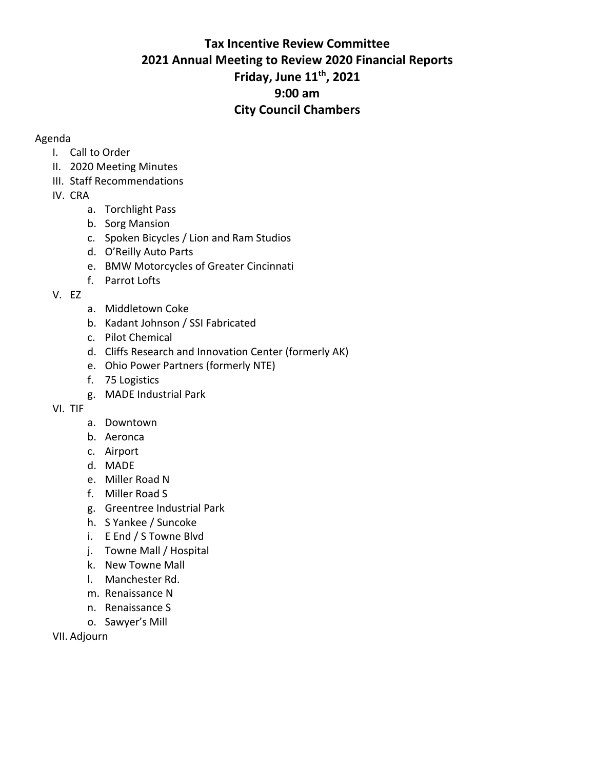# **Tax Incentive Review Committee 2021 Annual Meeting to Review 2020 Financial Reports Friday, June 11th, 2021 9:00 am City Council Chambers**

### Agenda

- I. Call to Order
- II. 2020 Meeting Minutes
- III. Staff Recommendations
- IV. CRA
	- a. Torchlight Pass
	- b. Sorg Mansion
	- c. Spoken Bicycles / Lion and Ram Studios
	- d. O'Reilly Auto Parts
	- e. BMW Motorcycles of Greater Cincinnati
	- f. Parrot Lofts
- V. EZ
- a. Middletown Coke
- b. Kadant Johnson / SSI Fabricated
- c. Pilot Chemical
- d. Cliffs Research and Innovation Center (formerly AK)
- e. Ohio Power Partners (formerly NTE)
- f. 75 Logistics
- g. MADE Industrial Park
- VI. TIF
	- a. Downtown
	- b. Aeronca
	- c. Airport
	- d. MADE
	- e. Miller Road N
	- f. Miller Road S
	- g. Greentree Industrial Park
	- h. S Yankee / Suncoke
	- i. E End / S Towne Blvd
	- j. Towne Mall / Hospital
	- k. New Towne Mall
	- l. Manchester Rd.
	- m. Renaissance N
	- n. Renaissance S
	- o. Sawyer's Mill

VII. Adjourn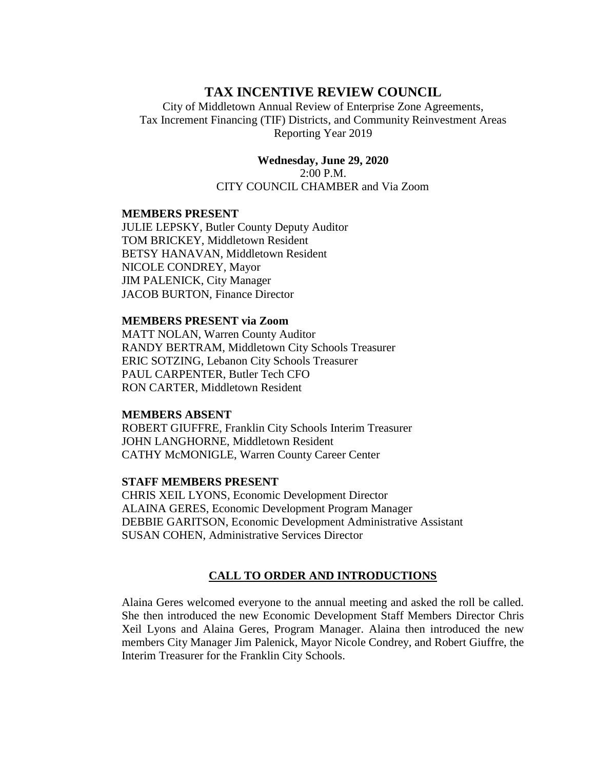# **TAX INCENTIVE REVIEW COUNCIL**

City of Middletown Annual Review of Enterprise Zone Agreements, Tax Increment Financing (TIF) Districts, and Community Reinvestment Areas Reporting Year 2019

> **Wednesday, June 29, 2020** 2:00 P.M. CITY COUNCIL CHAMBER and Via Zoom

#### **MEMBERS PRESENT**

JULIE LEPSKY, Butler County Deputy Auditor TOM BRICKEY, Middletown Resident BETSY HANAVAN, Middletown Resident NICOLE CONDREY, Mayor JIM PALENICK, City Manager JACOB BURTON, Finance Director

#### **MEMBERS PRESENT via Zoom**

MATT NOLAN, Warren County Auditor RANDY BERTRAM, Middletown City Schools Treasurer ERIC SOTZING, Lebanon City Schools Treasurer PAUL CARPENTER, Butler Tech CFO RON CARTER, Middletown Resident

#### **MEMBERS ABSENT**

ROBERT GIUFFRE, Franklin City Schools Interim Treasurer JOHN LANGHORNE, Middletown Resident CATHY McMONIGLE, Warren County Career Center

#### **STAFF MEMBERS PRESENT**

CHRIS XEIL LYONS, Economic Development Director ALAINA GERES, Economic Development Program Manager DEBBIE GARITSON, Economic Development Administrative Assistant SUSAN COHEN, Administrative Services Director

#### **CALL TO ORDER AND INTRODUCTIONS**

Alaina Geres welcomed everyone to the annual meeting and asked the roll be called. She then introduced the new Economic Development Staff Members Director Chris Xeil Lyons and Alaina Geres, Program Manager. Alaina then introduced the new members City Manager Jim Palenick, Mayor Nicole Condrey, and Robert Giuffre, the Interim Treasurer for the Franklin City Schools.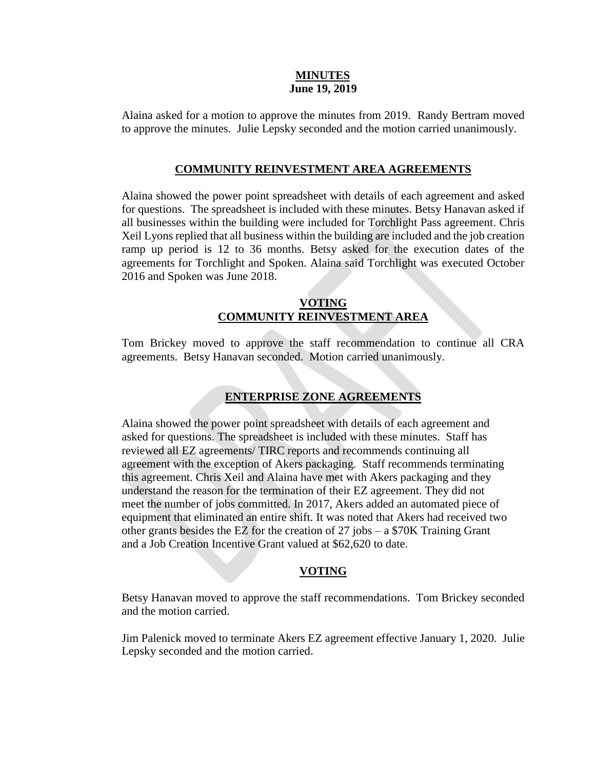#### **MINUTES June 19, 2019**

Alaina asked for a motion to approve the minutes from 2019. Randy Bertram moved to approve the minutes. Julie Lepsky seconded and the motion carried unanimously.

#### **COMMUNITY REINVESTMENT AREA AGREEMENTS**

Alaina showed the power point spreadsheet with details of each agreement and asked for questions. The spreadsheet is included with these minutes. Betsy Hanavan asked if all businesses within the building were included for Torchlight Pass agreement. Chris Xeil Lyons replied that all business within the building are included and the job creation ramp up period is 12 to 36 months. Betsy asked for the execution dates of the agreements for Torchlight and Spoken. Alaina said Torchlight was executed October 2016 and Spoken was June 2018.

### **VOTING COMMUNITY REINVESTMENT AREA**

Tom Brickey moved to approve the staff recommendation to continue all CRA agreements. Betsy Hanavan seconded. Motion carried unanimously.

## **ENTERPRISE ZONE AGREEMENTS**

Alaina showed the power point spreadsheet with details of each agreement and asked for questions. The spreadsheet is included with these minutes. Staff has reviewed all EZ agreements/ TIRC reports and recommends continuing all agreement with the exception of Akers packaging. Staff recommends terminating this agreement. Chris Xeil and Alaina have met with Akers packaging and they understand the reason for the termination of their EZ agreement. They did not meet the number of jobs committed. In 2017, Akers added an automated piece of equipment that eliminated an entire shift. It was noted that Akers had received two other grants besides the EZ for the creation of 27 jobs – a \$70K Training Grant and a Job Creation Incentive Grant valued at \$62,620 to date.

#### **VOTING**

Betsy Hanavan moved to approve the staff recommendations. Tom Brickey seconded and the motion carried.

Jim Palenick moved to terminate Akers EZ agreement effective January 1, 2020. Julie Lepsky seconded and the motion carried.